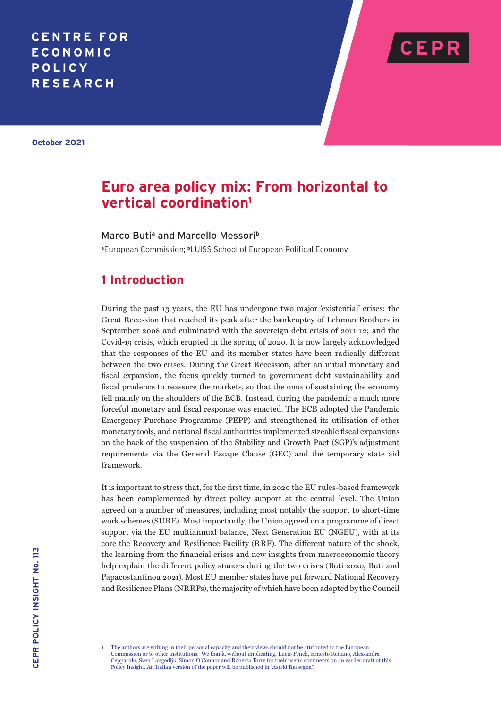# **CENTRE FOR ECONOMIC** POLICY **RESEARCH**



**October 2021**

# **Euro area policy mix: From horizontal to vertical coordination1**

### Marco Buti<sup>a</sup> and Marcello Messori<sup>b</sup>

**<sup>a</sup>**European Commission; **b**LUISS School of European Political Economy

## **1 Introduction**

During the past 13 years, the EU has undergone two major 'existential' crises: the Great Recession that reached its peak after the bankruptcy of Lehman Brothers in September 2008 and culminated with the sovereign debt crisis of 2011–12; and the Covid-19 crisis, which erupted in the spring of 2020. It is now largely acknowledged that the responses of the EU and its member states have been radically different between the two crises. During the Great Recession, after an initial monetary and fiscal expansion, the focus quickly turned to government debt sustainability and fiscal prudence to reassure the markets, so that the onus of sustaining the economy fell mainly on the shoulders of the ECB. Instead, during the pandemic a much more forceful monetary and fiscal response was enacted. The ECB adopted the Pandemic Emergency Purchase Programme (PEPP) and strengthened its utilisation of other monetary tools, and national fiscal authorities implemented sizeable fiscal expansions on the back of the suspension of the Stability and Growth Pact (SGP)'s adjustment requirements via the General Escape Clause (GEC) and the temporary state aid framework.

It is important to stress that, for the first time, in 2020 the EU rules-based framework has been complemented by direct policy support at the central level. The Union agreed on a number of measures, including most notably the support to short-time work schemes (SURE). Most importantly, the Union agreed on a programme of direct support via the EU multiannual balance, Next Generation EU (NGEU), with at its core the Recovery and Resilience Facility (RRF). The different nature of the shock, the learning from the financial crises and new insights from macroeconomic theory help explain the different policy stances during the two crises (Buti 2020, Buti and Papacostantinou 2021). Most EU member states have put forward National Recovery and Resilience Plans (NRRPs), the majority of which have been adopted by the Council

<sup>1</sup> The authors are writing in their personal capacity and their views should not be attributed to the European Commission or to other institutions. We thank, without implicating, Lucio Pench, Ernesto Reitano, Alessandra Cepparulo, Sven Langedijk, Simon O'Connor and Roberta Torre for their useful comments on an earlier draft of this Policy Insight. An Italian version of the paper will be published in "Astrid Rassegna".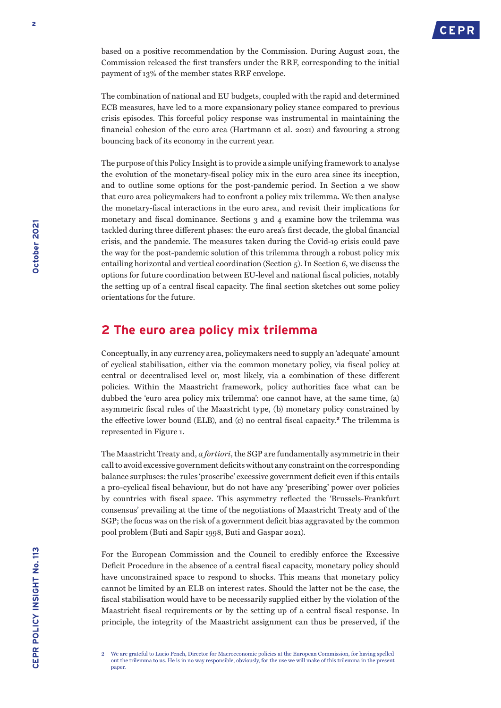

based on a positive recommendation by the Commission. During August 2021, the Commission released the first transfers under the RRF, corresponding to the initial payment of 13% of the member states RRF envelope.

The combination of national and EU budgets, coupled with the rapid and determined ECB measures, have led to a more expansionary policy stance compared to previous crisis episodes. This forceful policy response was instrumental in maintaining the financial cohesion of the euro area (Hartmann et al. 2021) and favouring a strong bouncing back of its economy in the current year.

The purpose of this Policy Insight is to provide a simple unifying framework to analyse the evolution of the monetary-fiscal policy mix in the euro area since its inception, and to outline some options for the post-pandemic period. In Section 2 we show that euro area policymakers had to confront a policy mix trilemma. We then analyse the monetary-fiscal interactions in the euro area, and revisit their implications for monetary and fiscal dominance. Sections 3 and 4 examine how the trilemma was tackled during three different phases: the euro area's first decade, the global financial crisis, and the pandemic. The measures taken during the Covid-19 crisis could pave the way for the post-pandemic solution of this trilemma through a robust policy mix entailing horizontal and vertical coordination (Section  $\zeta$ ). In Section 6, we discuss the options for future coordination between EU-level and national fiscal policies, notably the setting up of a central fiscal capacity. The final section sketches out some policy orientations for the future.

### **2 The euro area policy mix trilemma**

Conceptually, in any currency area, policymakers need to supply an 'adequate' amount of cyclical stabilisation, either via the common monetary policy, via fiscal policy at central or decentralised level or, most likely, via a combination of these different policies. Within the Maastricht framework, policy authorities face what can be dubbed the 'euro area policy mix trilemma': one cannot have, at the same time, (a) asymmetric fiscal rules of the Maastricht type, (b) monetary policy constrained by the effective lower bound (ELB), and (c) no central fiscal capacity.**<sup>2</sup>** The trilemma is represented in Figure 1.

The Maastricht Treaty and, *a fortiori*, the SGP are fundamentally asymmetric in their call to avoid excessive government deficits without any constraint on the corresponding balance surpluses: the rules 'proscribe' excessive government deficit even if this entails a pro-cyclical fiscal behaviour, but do not have any 'prescribing' power over policies by countries with fiscal space. This asymmetry reflected the 'Brussels-Frankfurt consensus' prevailing at the time of the negotiations of Maastricht Treaty and of the SGP; the focus was on the risk of a government deficit bias aggravated by the common pool problem (Buti and Sapir 1998, Buti and Gaspar 2021).

For the European Commission and the Council to credibly enforce the Excessive Deficit Procedure in the absence of a central fiscal capacity, monetary policy should have unconstrained space to respond to shocks. This means that monetary policy cannot be limited by an ELB on interest rates. Should the latter not be the case, the fiscal stabilisation would have to be necessarily supplied either by the violation of the Maastricht fiscal requirements or by the setting up of a central fiscal response. In principle, the integrity of the Maastricht assignment can thus be preserved, if the

<sup>2</sup> We are grateful to Lucio Pench, Director for Macroeconomic policies at the European Commission, for having spelled out the trilemma to us. He is in no way responsible, obviously, for the use we will make of this trilemma in the present paper.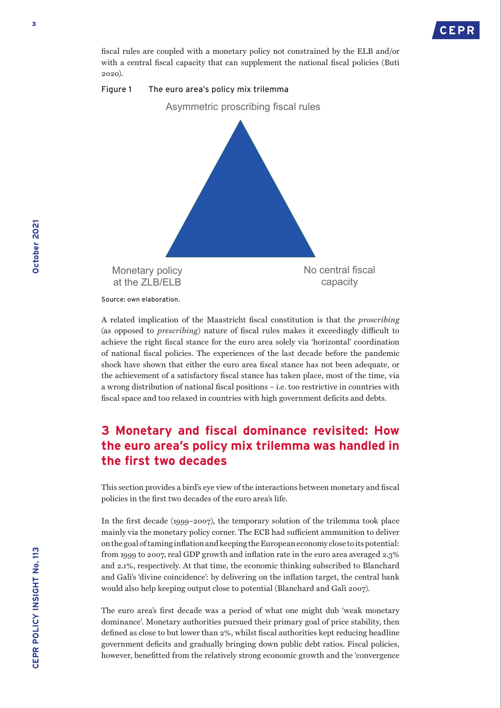

fiscal rules are coupled with a monetary policy not constrained by the ELB and/or with a central fiscal capacity that can supplement the national fiscal policies (Buti 2020).



Source: own elaboration.

A related implication of the Maastricht fiscal constitution is that the *proscribing* (as opposed to *prescribing*) nature of fiscal rules makes it exceedingly difficult to achieve the right fiscal stance for the euro area solely via 'horizontal' coordination of national fiscal policies. The experiences of the last decade before the pandemic shock have shown that either the euro area fiscal stance has not been adequate, or the achievement of a satisfactory fiscal stance has taken place, most of the time, via a wrong distribution of national fiscal positions – i.e. too restrictive in countries with fiscal space and too relaxed in countries with high government deficits and debts.

# **3 Monetary and fiscal dominance revisited: How the euro area's policy mix trilemma was handled in the first two decades**

This section provides a bird's eye view of the interactions between monetary and fiscal policies in the first two decades of the euro area's life.

In the first decade (1999–2007), the temporary solution of the trilemma took place mainly via the monetary policy corner. The ECB had sufficient ammunition to deliver on the goal of taming inflation and keeping the European economy close to its potential: from 1999 to 2007, real GDP growth and inflation rate in the euro area averaged 2.3% and 2.1%, respectively. At that time, the economic thinking subscribed to Blanchard and Galì's 'divine coincidence': by delivering on the inflation target, the central bank would also help keeping output close to potential (Blanchard and Galì 2007).

The euro area's first decade was a period of what one might dub 'weak monetary dominance'. Monetary authorities pursued their primary goal of price stability, then defined as close to but lower than 2%, whilst fiscal authorities kept reducing headline government deficits and gradually bringing down public debt ratios. Fiscal policies, however, benefitted from the relatively strong economic growth and the 'convergence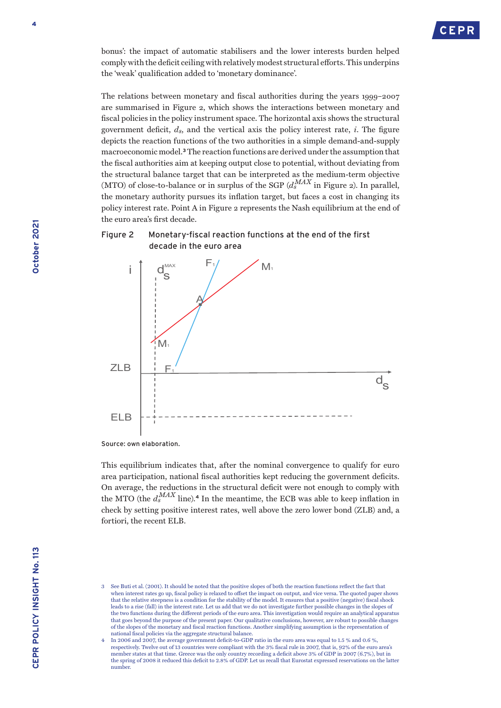

bonus': the impact of automatic stabilisers and the lower interests burden helped comply with the deficit ceiling with relatively modest structural efforts. This underpins the 'weak' qualification added to 'monetary dominance'.

The relations between monetary and fiscal authorities during the years 1999–2007 are summarised in Figure 2, which shows the interactions between monetary and fiscal policies in the policy instrument space. The horizontal axis shows the structural government deficit,  $d_s$ , and the vertical axis the policy interest rate,  $i$ . The figure depicts the reaction functions of the two authorities in a simple demand-and-supply macroeconomic model.**<sup>3</sup>** The reaction functions are derived under the assumption that the fiscal authorities aim at keeping output close to potential, without deviating from the structural balance target that can be interpreted as the medium-term objective (MTO) of close-to-balance or in surplus of the SGP  $(d_s^{MAX}$  in Figure 2). In parallel, the monetary authority pursues its inflation target, but faces a cost in changing its policy interest rate. Point A in Figure 2 represents the Nash equilibrium at the end of the euro area's first decade.





Source: own elaboration.

This equilibrium indicates that, after the nominal convergence to qualify for euro area participation, national fiscal authorities kept reducing the government deficits. On average, the reductions in the structural deficit were not enough to comply with the MTO (the  $d_s^{MAX}$  line).<sup>4</sup> In the meantime, the ECB was able to keep inflation in check by setting positive interest rates, well above the zero lower bond (ZLB) and, a fortiori, the recent ELB.

<sup>3</sup> See Buti et al. (2001). It should be noted that the positive slopes of both the reaction functions reflect the fact that when interest rates go up, fiscal policy is relaxed to offset the impact on output, and vice versa. The quoted paper shows that the relative steepness is a condition for the stability of the model. It ensures that a positive (negative) fiscal shock leads to a rise (fall) in the interest rate. Let us add that we do not investigate further possible changes in the slopes of the two functions during the different periods of the euro area. This investigation would require an analytical apparatus that goes beyond the purpose of the present paper. Our qualitative conclusions, however, are robust to possible changes of the slopes of the monetary and fiscal reaction functions. Another simplifying assumption is the representation of national fiscal policies via the aggregate structural balance.

<sup>4</sup> In 2006 and 2007, the average government deficit-to-GDP ratio in the euro area was equal to 1.5 % and 0.6 %, respectively. Twelve out of 13 countries were compliant with the 3% fiscal rule in 2007, that is, 92% of the euro area's member states at that time. Greece was the only country recording a deficit above 3% of GDP in 2007 (6.7%), but in the spring of 2008 it reduced this deficit to 2.8% of GDP. Let us recall that Eurostat expressed reservations on the latter number.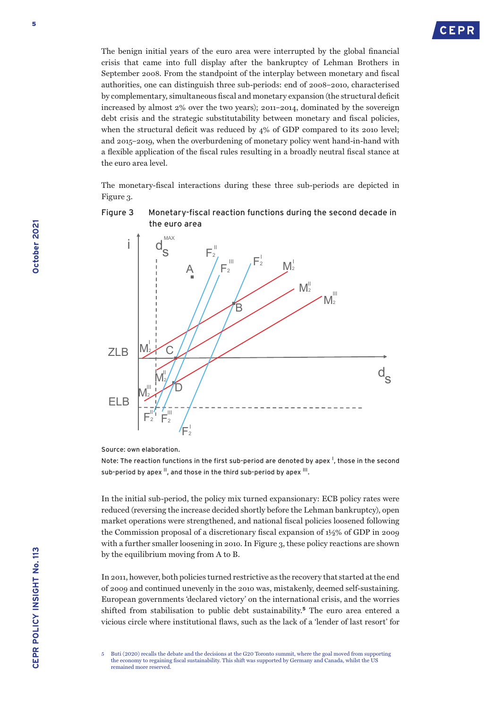

The benign initial years of the euro area were interrupted by the global financial crisis that came into full display after the bankruptcy of Lehman Brothers in September 2008. From the standpoint of the interplay between monetary and fiscal authorities, one can distinguish three sub-periods: end of 2008–2010, characterised by complementary, simultaneous fiscal and monetary expansion (the structural deficit increased by almost 2% over the two years); 2011–2014, dominated by the sovereign debt crisis and the strategic substitutability between monetary and fiscal policies, when the structural deficit was reduced by 4% of GDP compared to its 2010 level; and 2015–2019, when the overburdening of monetary policy went hand-in-hand with a flexible application of the fiscal rules resulting in a broadly neutral fiscal stance at the euro area level.

The monetary-fiscal interactions during these three sub-periods are depicted in Figure 3.

### Figure 3 Monetary-fiscal reaction functions during the second decade in the euro area



Source: own elaboration.

Note: The reaction functions in the first sub-period are denoted by apex<sup>1</sup>, those in the second sub-period by apex  $\mathbb{I}$ , and those in the third sub-period by apex  $\mathbb{II}$ .

In the initial sub-period, the policy mix turned expansionary: ECB policy rates were reduced (reversing the increase decided shortly before the Lehman bankruptcy), open market operations were strengthened, and national fiscal policies loosened following the Commission proposal of a discretionary fiscal expansion of 1½% of GDP in 2009 with a further smaller loosening in 2010. In Figure 3, these policy reactions are shown by the equilibrium moving from A to B.

In 2011, however, both policies turned restrictive as the recovery that started at the end of 2009 and continued unevenly in the 2010 was, mistakenly, deemed self-sustaining. European governments 'declared victory' on the international crisis, and the worries shifted from stabilisation to public debt sustainability.**<sup>5</sup>** The euro area entered a vicious circle where institutional flaws, such as the lack of a 'lender of last resort' for

<sup>5</sup> Buti (2020) recalls the debate and the decisions at the G20 Toronto summit, where the goal moved from supporting the economy to regaining fiscal sustainability. This shift was supported by Germany and Canada, whilst the US remained more reserved.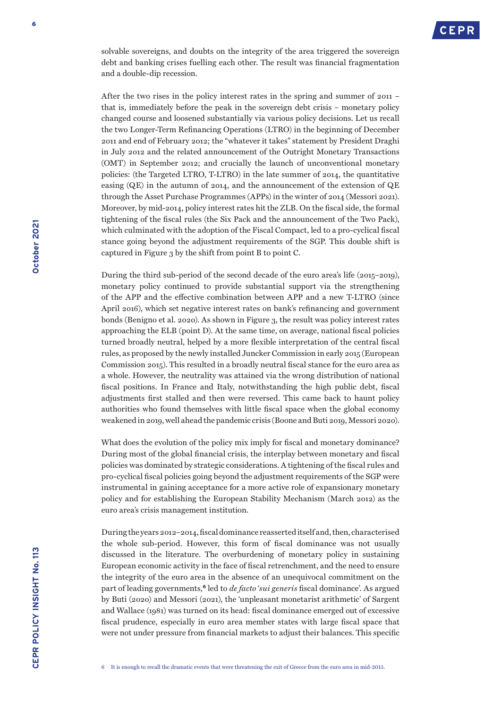

solvable sovereigns, and doubts on the integrity of the area triggered the sovereign debt and banking crises fuelling each other. The result was financial fragmentation and a double-dip recession.

After the two rises in the policy interest rates in the spring and summer of 2011 – that is, immediately before the peak in the sovereign debt crisis – monetary policy changed course and loosened substantially via various policy decisions. Let us recall the two Longer-Term Refinancing Operations (LTRO) in the beginning of December 2011 and end of February 2012; the "whatever it takes" statement by President Draghi in July 2012 and the related announcement of the Outright Monetary Transactions (OMT) in September 2012; and crucially the launch of unconventional monetary policies: (the Targeted LTRO, T-LTRO) in the late summer of 2014, the quantitative easing (QE) in the autumn of 2014, and the announcement of the extension of QE through the Asset Purchase Programmes (APPs) in the winter of 2014 (Messori 2021). Moreover, by mid-2014, policy interest rates hit the ZLB. On the fiscal side, the formal tightening of the fiscal rules (the Six Pack and the announcement of the Two Pack), which culminated with the adoption of the Fiscal Compact, led to a pro-cyclical fiscal stance going beyond the adjustment requirements of the SGP. This double shift is captured in Figure 3 by the shift from point B to point C.

During the third sub-period of the second decade of the euro area's life (2015–2019), monetary policy continued to provide substantial support via the strengthening of the APP and the effective combination between APP and a new T-LTRO (since April 2016), which set negative interest rates on bank's refinancing and government bonds (Benigno et al. 2020). As shown in Figure 3, the result was policy interest rates approaching the ELB (point D). At the same time, on average, national fiscal policies turned broadly neutral, helped by a more flexible interpretation of the central fiscal rules, as proposed by the newly installed Juncker Commission in early 2015 (European Commission 2015). This resulted in a broadly neutral fiscal stance for the euro area as a whole. However, the neutrality was attained via the wrong distribution of national fiscal positions. In France and Italy, notwithstanding the high public debt, fiscal adjustments first stalled and then were reversed. This came back to haunt policy authorities who found themselves with little fiscal space when the global economy weakened in 2019, well ahead the pandemic crisis (Boone and Buti 2019, Messori 2020).

What does the evolution of the policy mix imply for fiscal and monetary dominance? During most of the global financial crisis, the interplay between monetary and fiscal policies was dominated by strategic considerations. A tightening of the fiscal rules and pro-cyclical fiscal policies going beyond the adjustment requirements of the SGP were instrumental in gaining acceptance for a more active role of expansionary monetary policy and for establishing the European Stability Mechanism (March 2012) as the euro area's crisis management institution.

During the years 2012–2014, fiscal dominance reasserted itself and, then, characterised the whole sub-period. However, this form of fiscal dominance was not usually discussed in the literature. The overburdening of monetary policy in sustaining European economic activity in the face of fiscal retrenchment, and the need to ensure the integrity of the euro area in the absence of an unequivocal commitment on the part of leading governments,**<sup>6</sup>** led to *de facto* '*sui generis* fiscal dominance'. As argued by Buti (2020) and Messori (2021), the 'unpleasant monetarist arithmetic' of Sargent and Wallace (1981) was turned on its head: fiscal dominance emerged out of excessive fiscal prudence, especially in euro area member states with large fiscal space that were not under pressure from financial markets to adjust their balances. This specific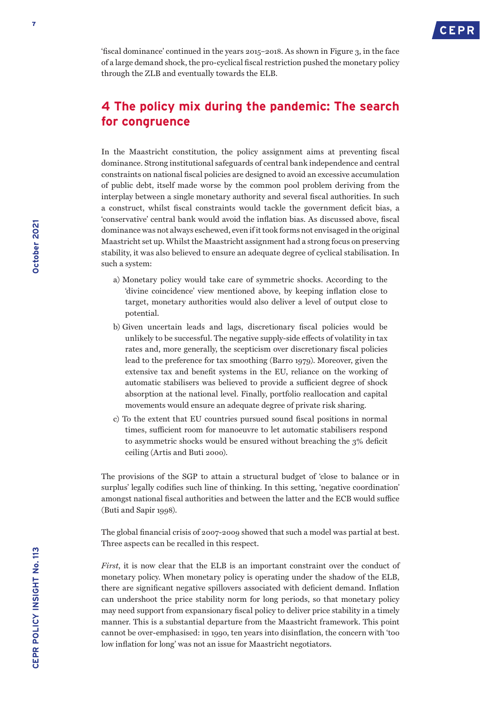

'fiscal dominance' continued in the years 2015–2018. As shown in Figure 3, in the face of a large demand shock, the pro-cyclical fiscal restriction pushed the monetary policy through the ZLB and eventually towards the ELB.

# **4 The policy mix during the pandemic: The search for congruence**

In the Maastricht constitution, the policy assignment aims at preventing fiscal dominance. Strong institutional safeguards of central bank independence and central constraints on national fiscal policies are designed to avoid an excessive accumulation of public debt, itself made worse by the common pool problem deriving from the interplay between a single monetary authority and several fiscal authorities. In such a construct, whilst fiscal constraints would tackle the government deficit bias, a 'conservative' central bank would avoid the inflation bias. As discussed above, fiscal dominance was not always eschewed, even if it took forms not envisaged in the original Maastricht set up. Whilst the Maastricht assignment had a strong focus on preserving stability, it was also believed to ensure an adequate degree of cyclical stabilisation. In such a system:

- a) Monetary policy would take care of symmetric shocks. According to the 'divine coincidence' view mentioned above, by keeping inflation close to target, monetary authorities would also deliver a level of output close to potential.
- b) Given uncertain leads and lags, discretionary fiscal policies would be unlikely to be successful. The negative supply-side effects of volatility in tax rates and, more generally, the scepticism over discretionary fiscal policies lead to the preference for tax smoothing (Barro 1979). Moreover, given the extensive tax and benefit systems in the EU, reliance on the working of automatic stabilisers was believed to provide a sufficient degree of shock absorption at the national level. Finally, portfolio reallocation and capital movements would ensure an adequate degree of private risk sharing.
- c) To the extent that EU countries pursued sound fiscal positions in normal times, sufficient room for manoeuvre to let automatic stabilisers respond to asymmetric shocks would be ensured without breaching the 3% deficit ceiling (Artis and Buti 2000).

The provisions of the SGP to attain a structural budget of 'close to balance or in surplus' legally codifies such line of thinking. In this setting, 'negative coordination' amongst national fiscal authorities and between the latter and the ECB would suffice (Buti and Sapir 1998).

The global financial crisis of 2007-2009 showed that such a model was partial at best. Three aspects can be recalled in this respect.

*First*, it is now clear that the ELB is an important constraint over the conduct of monetary policy. When monetary policy is operating under the shadow of the ELB, there are significant negative spillovers associated with deficient demand. Inflation can undershoot the price stability norm for long periods, so that monetary policy may need support from expansionary fiscal policy to deliver price stability in a timely manner. This is a substantial departure from the Maastricht framework. This point cannot be over-emphasised: in 1990, ten years into disinflation, the concern with 'too low inflation for long' was not an issue for Maastricht negotiators.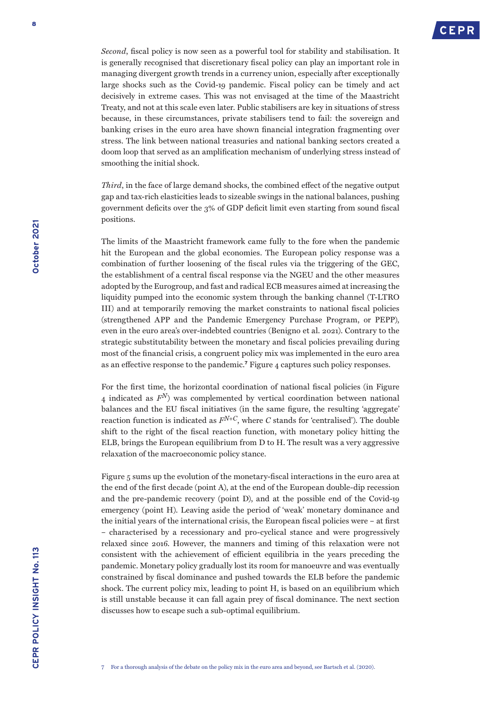

*Second*, fiscal policy is now seen as a powerful tool for stability and stabilisation. It is generally recognised that discretionary fiscal policy can play an important role in managing divergent growth trends in a currency union, especially after exceptionally large shocks such as the Covid-19 pandemic. Fiscal policy can be timely and act decisively in extreme cases. This was not envisaged at the time of the Maastricht Treaty, and not at this scale even later. Public stabilisers are key in situations of stress because, in these circumstances, private stabilisers tend to fail: the sovereign and banking crises in the euro area have shown financial integration fragmenting over stress. The link between national treasuries and national banking sectors created a doom loop that served as an amplification mechanism of underlying stress instead of smoothing the initial shock.

*Third*, in the face of large demand shocks, the combined effect of the negative output gap and tax-rich elasticities leads to sizeable swings in the national balances, pushing government deficits over the 3% of GDP deficit limit even starting from sound fiscal positions.

The limits of the Maastricht framework came fully to the fore when the pandemic hit the European and the global economies. The European policy response was a combination of further loosening of the fiscal rules via the triggering of the GEC, the establishment of a central fiscal response via the NGEU and the other measures adopted by the Eurogroup, and fast and radical ECB measures aimed at increasing the liquidity pumped into the economic system through the banking channel (T-LTRO III) and at temporarily removing the market constraints to national fiscal policies (strengthened APP and the Pandemic Emergency Purchase Program, or PEPP), even in the euro area's over-indebted countries (Benigno et al. 2021). Contrary to the strategic substitutability between the monetary and fiscal policies prevailing during most of the financial crisis, a congruent policy mix was implemented in the euro area as an effective response to the pandemic.**<sup>7</sup>** Figure 4 captures such policy responses.

For the first time, the horizontal coordination of national fiscal policies (in Figure 4 indicated as *FN*) was complemented by vertical coordination between national balances and the EU fiscal initiatives (in the same figure, the resulting 'aggregate' reaction function is indicated as  $F^{N+C}$ , where *C* stands for 'centralised'). The double shift to the right of the fiscal reaction function, with monetary policy hitting the ELB, brings the European equilibrium from D to H. The result was a very aggressive relaxation of the macroeconomic policy stance.

Figure 5 sums up the evolution of the monetary-fiscal interactions in the euro area at the end of the first decade (point A), at the end of the European double-dip recession and the pre-pandemic recovery (point D), and at the possible end of the Covid-19 emergency (point H). Leaving aside the period of 'weak' monetary dominance and the initial years of the international crisis, the European fiscal policies were – at first – characterised by a recessionary and pro-cyclical stance and were progressively relaxed since 2016. However, the manners and timing of this relaxation were not consistent with the achievement of efficient equilibria in the years preceding the pandemic. Monetary policy gradually lost its room for manoeuvre and was eventually constrained by fiscal dominance and pushed towards the ELB before the pandemic shock. The current policy mix, leading to point H, is based on an equilibrium which is still unstable because it can fall again prey of fiscal dominance. The next section discusses how to escape such a sub-optimal equilibrium.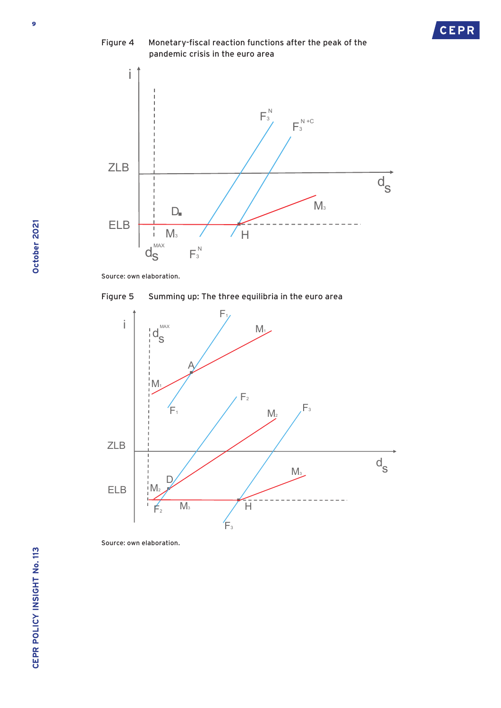

**CEPR** 

Source: own elaboration.





S ource: own elaboration.

October 2021 **October 2021**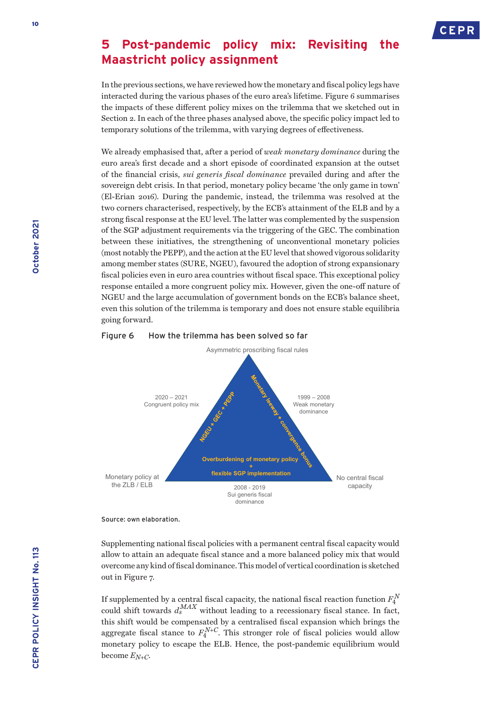

## **5 Post-pandemic policy mix: Revisiting the Maastricht policy assignment**

In the previous sections, we have reviewed how the monetary and fiscal policy legs have interacted during the various phases of the euro area's lifetime. Figure 6 summarises the impacts of these different policy mixes on the trilemma that we sketched out in Section 2. In each of the three phases analysed above, the specific policy impact led to temporary solutions of the trilemma, with varying degrees of effectiveness.

We already emphasised that, after a period of *weak monetary dominance* during the euro area's first decade and a short episode of coordinated expansion at the outset of the financial crisis, *sui generis fiscal dominance* prevailed during and after the sovereign debt crisis. In that period, monetary policy became 'the only game in town' (El-Erian 2016). During the pandemic, instead, the trilemma was resolved at the two corners characterised, respectively, by the ECB's attainment of the ELB and by a strong fiscal response at the EU level. The latter was complemented by the suspension of the SGP adjustment requirements via the triggering of the GEC. The combination between these initiatives, the strengthening of unconventional monetary policies (most notably the PEPP), and the action at the EU level that showed vigorous solidarity among member states (SURE, NGEU), favoured the adoption of strong expansionary fiscal policies even in euro area countries without fiscal space. This exceptional policy response entailed a more congruent policy mix. However, given the one-off nature of NGEU and the large accumulation of government bonds on the ECB's balance sheet, even this solution of the trilemma is temporary and does not ensure stable equilibria going forward.

### Asymmetric proscribing fiscal rules No central fiscal capacity Monetary policy at the  $ZIB$  / FLB 1999 – 2008 Weak monetary dominance 2020 – 2021 Congruent policy mix 2008 - 2019 Sui generis fiscal dominance **Overburdening of monetary poll + flexible SGP implementation**

### Figure 6 How the trilemma has been solved so far

Supplementing national fiscal policies with a permanent central fiscal capacity would allow to attain an adequate fiscal stance and a more balanced policy mix that would overcome any kind of fiscal dominance. This model of vertical coordination is sketched out in Figure 7.

If supplemented by a central fiscal capacity, the national fiscal reaction function  $F_4^N$ could shift towards  $d_s^{MAX}$  without leading to a recessionary fiscal stance. In fact, this shift would be compensated by a centralised fiscal expansion which brings the aggregate fiscal stance to  $F_4^{N+C}$ . This stronger role of fiscal policies would allow monetary policy to escape the ELB. Hence, the post-pandemic equilibrium would become *EN+C*.

Source: own elaboration.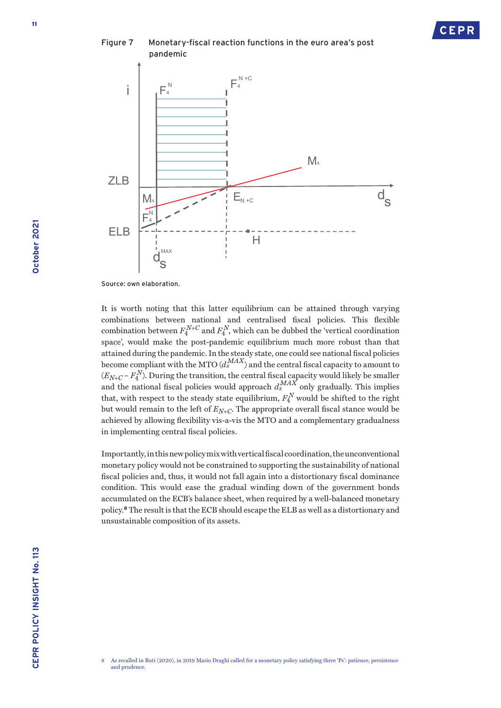

Source: own elaboration.

 $d_S^{\text{max}}$ 

It is worth noting that this latter equilibrium can be attained through varying combinations between national and centralised fiscal policies. This flexible combination between  $F_4^{N+C}$  and  $F_4^N$ , which can be dubbed the 'vertical coordination space', would make the post-pandemic equilibrium much more robust than that attained during the pandemic. In the steady state, one could see national fiscal policies become compliant with the MTO  $(d_s^{MAX})$  and the central fiscal capacity to amount to  $(E_{N+C} - F_4^N)$ . During the transition, the central fiscal capacity would likely be smaller and the national fiscal policies would approach  $d_s^{MAX}$  only gradually. This implies that, with respect to the steady state equilibrium,  $F_4^N$  would be shifted to the right but would remain to the left of *EN+C*. The appropriate overall fiscal stance would be achieved by allowing flexibility vis-a-vis the MTO and a complementary gradualness in implementing central fiscal policies.

Importantly, in this new policy mix with vertical fiscal coordination, the unconventional monetary policy would not be constrained to supporting the sustainability of national fiscal policies and, thus, it would not fall again into a distortionary fiscal dominance condition. This would ease the gradual winding down of the government bonds accumulated on the ECB's balance sheet, when required by a well-balanced monetary policy.**<sup>8</sup>** The result is that the ECB should escape the ELB as well as a distortionary and unsustainable composition of its assets.

<sup>8</sup> As recalled in Buti (2020), in 2019 Mario Draghi called for a monetary policy satisfying three 'Ps': patience, persistence and prudence.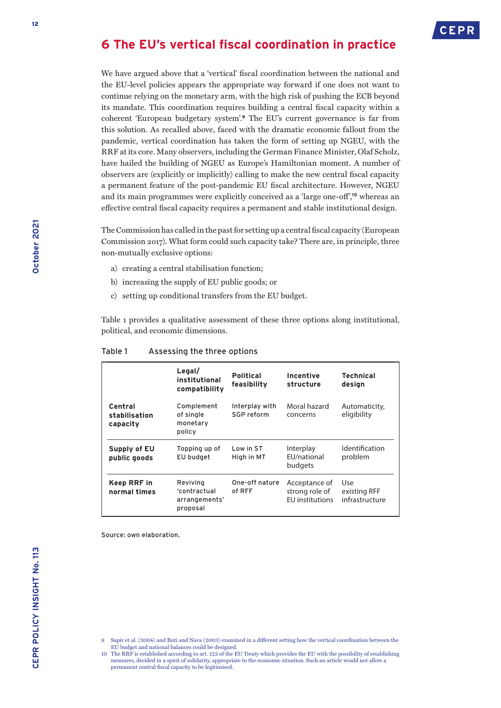# **6 The EU's vertical fiscal coordination in practice**

We have argued above that a 'vertical' fiscal coordination between the national and the EU-level policies appears the appropriate way forward if one does not want to continue relying on the monetary arm, with the high risk of pushing the ECB beyond its mandate. This coordination requires building a central fiscal capacity within a coherent 'European budgetary system'.**<sup>9</sup>** The EU's current governance is far from this solution. As recalled above, faced with the dramatic economic fallout from the pandemic, vertical coordination has taken the form of setting up NGEU, with the RRF at its core. Many observers, including the German Finance Minister, Olaf Scholz, have hailed the building of NGEU as Europe's Hamiltonian moment. A number of observers are (explicitly or implicitly) calling to make the new central fiscal capacity a permanent feature of the post-pandemic EU fiscal architecture. However, NGEU and its main programmes were explicitly conceived as a 'large one-off',**<sup>10</sup>** whereas an effective central fiscal capacity requires a permanent and stable institutional design.

The Commission has called in the past for setting up a central fiscal capacity (European Commission 2017). What form could such capacity take? There are, in principle, three non-mutually exclusive options:

- a) creating a central stabilisation function;
- b) increasing the supply of EU public goods; or
- c) setting up conditional transfers from the EU budget.

Table 1 provides a qualitative assessment of these three options along institutional, political, and economic dimensions.

|                                      | Legal/<br>institutional<br>compatibility              | <b>Political</b><br>feasibility | Incentive<br>structure                                    | <b>Technical</b><br>design            |
|--------------------------------------|-------------------------------------------------------|---------------------------------|-----------------------------------------------------------|---------------------------------------|
| Central<br>stabilisation<br>capacity | Complement<br>of single<br>monetary<br>policy         | Interplay with<br>SGP reform    | Moral hazard<br>concerns                                  | Automaticity,<br>eligibility          |
| Supply of EU<br>public goods         | Topping up of<br>EU budget                            | Low in ST<br>High in MT         | Interplay<br>EU/national<br>budgets                       | <b>Identification</b><br>problem      |
| Keep RRF in<br>normal times          | Reviving<br>'contractual<br>arrangements'<br>proposal | One-off nature<br>of RFF        | Acceptance of<br>strong role of<br><b>FU</b> institutions | Use<br>existing RFF<br>infrastructure |

#### Table 1 Assessing the three options

Source: own elaboration.

- 9 Sapir et al. (2004) and Buti and Nava (2003) examined in a different setting how the vertical coordination between the EU budget and national balances could be designed.
- 10 The RRF is established according to art. 122 of the EU Treaty which provides the EU with the possibility of establishing measures, decided in a spirit of solidarity, appropriate to the economic situation. Such an article would not allow a permanent central fiscal capacity to be legitimised.

**October 2021**

October 2021

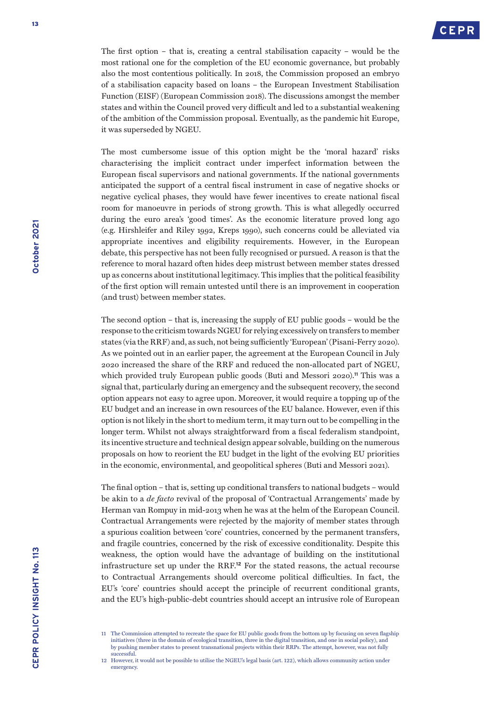The first option – that is, creating a central stabilisation capacity – would be the most rational one for the completion of the EU economic governance, but probably also the most contentious politically. In 2018, the Commission proposed an embryo of a stabilisation capacity based on loans – the European Investment Stabilisation Function (EISF) (European Commission 2018). The discussions amongst the member states and within the Council proved very difficult and led to a substantial weakening of the ambition of the Commission proposal. Eventually, as the pandemic hit Europe, it was superseded by NGEU.

The most cumbersome issue of this option might be the 'moral hazard' risks characterising the implicit contract under imperfect information between the European fiscal supervisors and national governments. If the national governments anticipated the support of a central fiscal instrument in case of negative shocks or negative cyclical phases, they would have fewer incentives to create national fiscal room for manoeuvre in periods of strong growth. This is what allegedly occurred during the euro area's 'good times'. As the economic literature proved long ago (e.g. Hirshleifer and Riley 1992, Kreps 1990), such concerns could be alleviated via appropriate incentives and eligibility requirements. However, in the European debate, this perspective has not been fully recognised or pursued. A reason is that the reference to moral hazard often hides deep mistrust between member states dressed up as concerns about institutional legitimacy. This implies that the political feasibility of the first option will remain untested until there is an improvement in cooperation (and trust) between member states.

The second option – that is, increasing the supply of EU public goods – would be the response to the criticism towards NGEU for relying excessively on transfers to member states (via the RRF) and, as such, not being sufficiently 'European' (Pisani-Ferry 2020). As we pointed out in an earlier paper, the agreement at the European Council in July 2020 increased the share of the RRF and reduced the non-allocated part of NGEU, which provided truly European public goods (Buti and Messori 2020).**<sup>11</sup>** This was a signal that, particularly during an emergency and the subsequent recovery, the second option appears not easy to agree upon. Moreover, it would require a topping up of the EU budget and an increase in own resources of the EU balance. However, even if this option is not likely in the short to medium term, it may turn out to be compelling in the longer term. Whilst not always straightforward from a fiscal federalism standpoint, its incentive structure and technical design appear solvable, building on the numerous proposals on how to reorient the EU budget in the light of the evolving EU priorities in the economic, environmental, and geopolitical spheres (Buti and Messori 2021).

The final option – that is, setting up conditional transfers to national budgets – would be akin to a *de facto* revival of the proposal of 'Contractual Arrangements' made by Herman van Rompuy in mid-2013 when he was at the helm of the European Council. Contractual Arrangements were rejected by the majority of member states through a spurious coalition between 'core' countries, concerned by the permanent transfers, and fragile countries, concerned by the risk of excessive conditionality. Despite this weakness, the option would have the advantage of building on the institutional infrastructure set up under the RRF.**<sup>12</sup>** For the stated reasons, the actual recourse to Contractual Arrangements should overcome political difficulties. In fact, the EU's 'core' countries should accept the principle of recurrent conditional grants, and the EU's high-public-debt countries should accept an intrusive role of European

<sup>11</sup> The Commission attempted to recreate the space for EU public goods from the bottom up by focusing on seven flagship initiatives (three in the domain of ecological transition, three in the digital transition, and one in social policy), and by pushing member states to present transnational projects within their RRPs. The attempt, however, was not fully successful.

<sup>12</sup> However, it would not be possible to utilise the NGEU's legal basis (art. 122), which allows community action under emergency.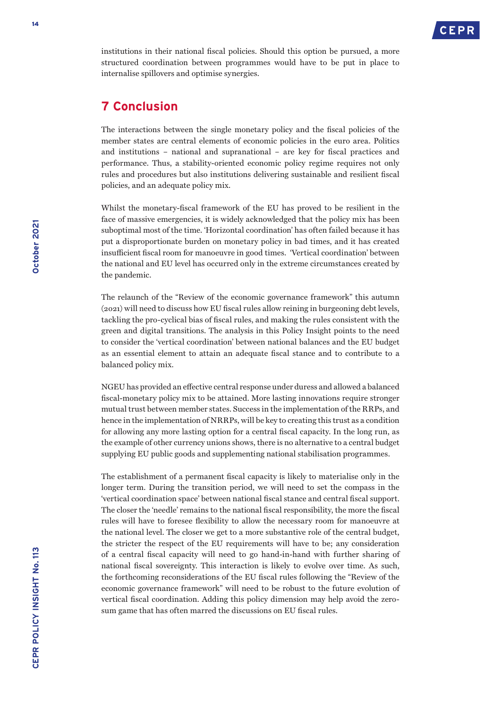

institutions in their national fiscal policies. Should this option be pursued, a more structured coordination between programmes would have to be put in place to internalise spillovers and optimise synergies.

## **7 Conclusion**

The interactions between the single monetary policy and the fiscal policies of the member states are central elements of economic policies in the euro area. Politics and institutions – national and supranational – are key for fiscal practices and performance. Thus, a stability-oriented economic policy regime requires not only rules and procedures but also institutions delivering sustainable and resilient fiscal policies, and an adequate policy mix.

Whilst the monetary-fiscal framework of the EU has proved to be resilient in the face of massive emergencies, it is widely acknowledged that the policy mix has been suboptimal most of the time. 'Horizontal coordination' has often failed because it has put a disproportionate burden on monetary policy in bad times, and it has created insufficient fiscal room for manoeuvre in good times. 'Vertical coordination' between the national and EU level has occurred only in the extreme circumstances created by the pandemic.

The relaunch of the "Review of the economic governance framework" this autumn (2021) will need to discuss how EU fiscal rules allow reining in burgeoning debt levels, tackling the pro-cyclical bias of fiscal rules, and making the rules consistent with the green and digital transitions. The analysis in this Policy Insight points to the need to consider the 'vertical coordination' between national balances and the EU budget as an essential element to attain an adequate fiscal stance and to contribute to a balanced policy mix.

NGEU has provided an effective central response under duress and allowed a balanced fiscal-monetary policy mix to be attained. More lasting innovations require stronger mutual trust between member states. Success in the implementation of the RRPs, and hence in the implementation of NRRPs, will be key to creating this trust as a condition for allowing any more lasting option for a central fiscal capacity. In the long run, as the example of other currency unions shows, there is no alternative to a central budget supplying EU public goods and supplementing national stabilisation programmes.

The establishment of a permanent fiscal capacity is likely to materialise only in the longer term. During the transition period, we will need to set the compass in the 'vertical coordination space' between national fiscal stance and central fiscal support. The closer the 'needle' remains to the national fiscal responsibility, the more the fiscal rules will have to foresee flexibility to allow the necessary room for manoeuvre at the national level. The closer we get to a more substantive role of the central budget, the stricter the respect of the EU requirements will have to be; any consideration of a central fiscal capacity will need to go hand-in-hand with further sharing of national fiscal sovereignty. This interaction is likely to evolve over time. As such, the forthcoming reconsiderations of the EU fiscal rules following the "Review of the economic governance framework" will need to be robust to the future evolution of vertical fiscal coordination. Adding this policy dimension may help avoid the zerosum game that has often marred the discussions on EU fiscal rules.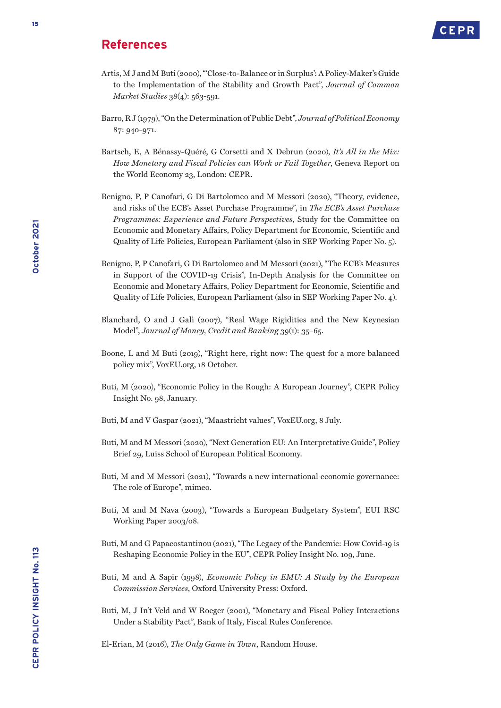### **References**



- Artis, M J and M Buti (2000), "'Close-to-Balance or in Surplus': A Policy-Maker's Guide to the Implementation of the Stability and Growth Pact", *Journal of Common Market Studies* 38(4): 563-591.
- Barro, R J (1979), "On the Determination of Public Debt", *Journal of Political Economy* 87: 940-971.
- Bartsch, E, A Bénassy-Quéré, G Corsetti and X Debrun (2020), *It's All in the Mix: How Monetary and Fiscal Policies can Work or Fail Together*, Geneva Report on the World Economy 23, London: CEPR.
- Benigno, P, P Canofari, G Di Bartolomeo and M Messori (2020), "Theory, evidence, and risks of the ECB's Asset Purchase Programme", in *The ECB's Asset Purchase Programmes: Experience and Future Perspectives,* Study for the Committee on Economic and Monetary Affairs, Policy Department for Economic, Scientific and Quality of Life Policies, European Parliament (also in SEP Working Paper No. 5).
- Benigno, P, P Canofari, G Di Bartolomeo and M Messori (2021), "The ECB's Measures in Support of the COVID-19 Crisis", In-Depth Analysis for the Committee on Economic and Monetary Affairs, Policy Department for Economic, Scientific and Quality of Life Policies, European Parliament (also in SEP Working Paper No. 4).
- Blanchard, O and J Galì (2007), ["Real Wage Rigidities and the New Keynesian](http://www.nber.org/papers/w11806.pdf)  [Model"](http://www.nber.org/papers/w11806.pdf), *Journal of Money, Credit and Banking* 39(1): 35–65.
- Boone, L and M Buti (2019), "Right here, right now: The quest for a more balanced policy mix", VoxEU.org, 18 October.
- Buti, M (2020), "Economic Policy in the Rough: A European Journey", CEPR Policy Insight No. 98, January.
- Buti, M and V Gaspar (2021), "Maastricht values", VoxEU.org, 8 July.
- Buti, M and M Messori (2020), "Next Generation EU: An Interpretative Guide", Policy Brief 29, Luiss School of European Political Economy.
- Buti, M and M Messori (2021), "Towards a new international economic governance: The role of Europe", mimeo.
- Buti, M and M Nava (2003), "Towards a European Budgetary System", EUI RSC Working Paper 2003/08.
- Buti, M and G Papacostantinou (2021), "The Legacy of the Pandemic: How Covid-19 is Reshaping Economic Policy in the EU", CEPR Policy Insight No. 109, June.
- Buti, M and A Sapir (1998), *Economic Policy in EMU: A Study by the European Commission Services*, Oxford University Press: Oxford.
- Buti, M, J In't Veld and W Roeger (2001), "Monetary and Fiscal Policy Interactions Under a Stability Pact", Bank of Italy, Fiscal Rules Conference.

El-Erian, M (2016), *The Only Game in Town*, Random House.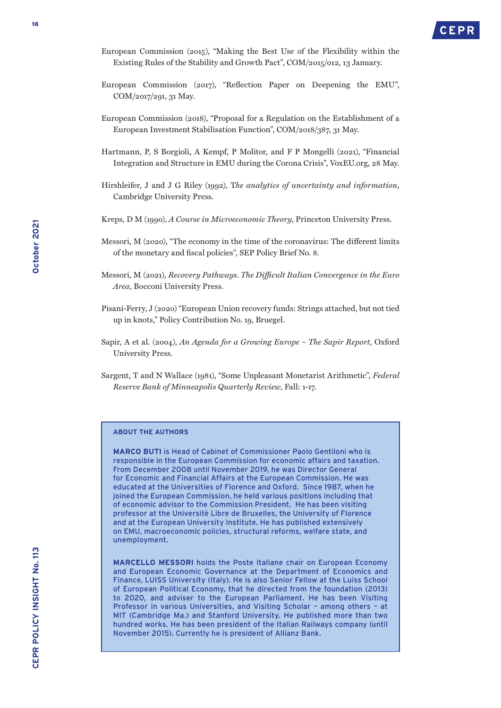- European Commission (2015), "Making the Best Use of the Flexibility within the Existing Rules of the Stability and Growth Pact", COM/2015/012, 13 January.
- European Commission (2017), "Reflection Paper on Deepening the EMU", COM/2017/291, 31 May.
- European Commission (2018), "Proposal for a Regulation on the Establishment of a European Investment Stabilisation Function", COM/2018/387, 31 May.
- Hartmann, P, S Borgioli, A Kempf, P Molitor, and F P Mongelli (2021), "Financial Integration and Structure in EMU during the Corona Crisis", VoxEU.org, 28 May.
- Hirshleifer, J and J G Riley (1992), T*he analytics of uncertainty and information*, Cambridge University Press.
- Kreps, D M (1990), *A Course in Microeconomic Theory*, Princeton University Press.
- Messori, M (2020), "The economy in the time of the coronavirus: The different limits of the monetary and fiscal policies", SEP Policy Brief No. 8.
- Messori, M (2021), *Recovery Pathways. The Difficult Italian Convergence in the Euro Area*, Bocconi University Press.
- Pisani-Ferry, J (2020) "European Union recovery funds: Strings attached, but not tied up in knots," Policy Contribution No. 19, Bruegel.
- Sapir, A et al. (2004), *An Agenda for a Growing Europe The Sapir Report*, Oxford University Press.
- Sargent, T and N Wallace (1981), "Some Unpleasant Monetarist Arithmetic", *Federal Reserve Bank of Minneapolis Quarterly Review*, Fall: 1-17.

#### **ABOUT THE AUTHORS**

**MARCO BUTI** is Head of Cabinet of Commissioner Paolo Gentiloni who is responsible in the European Commission for economic affairs and taxation. From December 2008 until November 2019, he was Director General for Economic and Financial Affairs at the European Commission. He was educated at the Universities of Florence and Oxford. Since 1987, when he joined the European Commission, he held various positions including that of economic advisor to the Commission President. He has been visiting professor at the Universitè Libre de Bruxelles, the University of Florence and at the European University Institute. He has published extensively on EMU, macroeconomic policies, structural reforms, welfare state, and unemployment.

**MARCELLO MESSORI** holds the Poste Italiane chair on European Economy and European Economic Governance at the Department of Economics and Finance, LUISS University (Italy). He is also Senior Fellow at the Luiss School of European Political Economy, that he directed from the foundation (2013) to 2020, and adviser to the European Parliament. He has been Visiting Professor in various Universities, and Visiting Scholar – among others – at MIT (Cambridge Ma.) and Stanford University. He published more than two hundred works. He has been president of the Italian Railways company (until November 2015). Currently he is president of Allianz Bank.